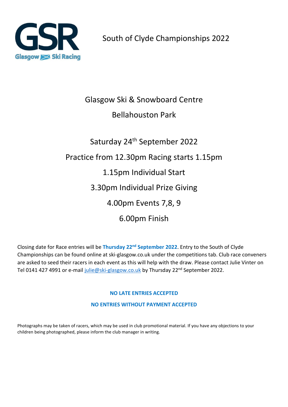

## Glasgow Ski & Snowboard Centre

### Bellahouston Park

# Saturday 24<sup>th</sup> September 2022 Practice from 12.30pm Racing starts 1.15pm 1.15pm Individual Start 3.30pm Individual Prize Giving 4.00pm Events 7,8, 9 6.00pm Finish

Closing date for Race entries will be **Thursday 22nd September 2022**. Entry to the South of Clyde Championships can be found online at ski-glasgow.co.uk under the competitions tab. Club race conveners are asked to seed their racers in each event as this will help with the draw. Please contact Julie Vinter on Tel 0141 427 4991 or e-mai[l julie@ski-glasgow.co.uk](mailto:julie@ski-glasgow.co.uk) by Thursday 22<sup>nd</sup> September 2022.

#### **NO LATE ENTRIES ACCEPTED**

**NO ENTRIES WITHOUT PAYMENT ACCEPTED**

Photographs may be taken of racers, which may be used in club promotional material. If you have any objections to your children being photographed, please inform the club manager in writing.